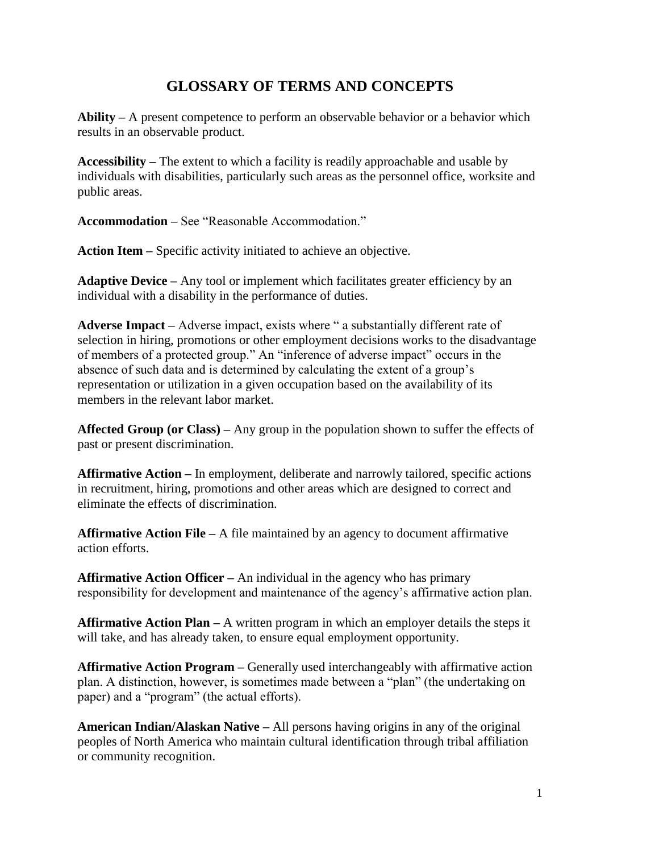## **GLOSSARY OF TERMS AND CONCEPTS**

**Ability –** A present competence to perform an observable behavior or a behavior which results in an observable product.

**Accessibility –** The extent to which a facility is readily approachable and usable by individuals with disabilities, particularly such areas as the personnel office, worksite and public areas.

**Accommodation –** See "Reasonable Accommodation."

**Action Item –** Specific activity initiated to achieve an objective.

**Adaptive Device –** Any tool or implement which facilitates greater efficiency by an individual with a disability in the performance of duties.

**Adverse Impact –** Adverse impact, exists where " a substantially different rate of selection in hiring, promotions or other employment decisions works to the disadvantage of members of a protected group." An "inference of adverse impact" occurs in the absence of such data and is determined by calculating the extent of a group's representation or utilization in a given occupation based on the availability of its members in the relevant labor market.

**Affected Group (or Class) –** Any group in the population shown to suffer the effects of past or present discrimination.

**Affirmative Action –** In employment, deliberate and narrowly tailored, specific actions in recruitment, hiring, promotions and other areas which are designed to correct and eliminate the effects of discrimination.

**Affirmative Action File –** A file maintained by an agency to document affirmative action efforts.

**Affirmative Action Officer –** An individual in the agency who has primary responsibility for development and maintenance of the agency's affirmative action plan.

**Affirmative Action Plan –** A written program in which an employer details the steps it will take, and has already taken, to ensure equal employment opportunity.

**Affirmative Action Program –** Generally used interchangeably with affirmative action plan. A distinction, however, is sometimes made between a "plan" (the undertaking on paper) and a "program" (the actual efforts).

**American Indian/Alaskan Native –** All persons having origins in any of the original peoples of North America who maintain cultural identification through tribal affiliation or community recognition.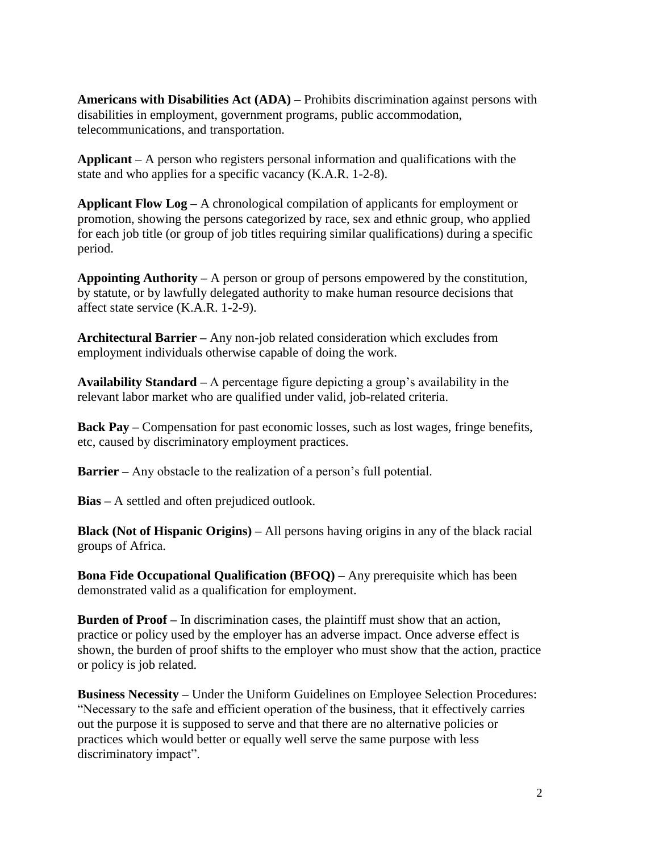**Americans with Disabilities Act (ADA) –** Prohibits discrimination against persons with disabilities in employment, government programs, public accommodation, telecommunications, and transportation.

**Applicant –** A person who registers personal information and qualifications with the state and who applies for a specific vacancy (K.A.R. 1-2-8).

**Applicant Flow Log –** A chronological compilation of applicants for employment or promotion, showing the persons categorized by race, sex and ethnic group, who applied for each job title (or group of job titles requiring similar qualifications) during a specific period.

**Appointing Authority –** A person or group of persons empowered by the constitution, by statute, or by lawfully delegated authority to make human resource decisions that affect state service (K.A.R. 1-2-9).

**Architectural Barrier –** Any non-job related consideration which excludes from employment individuals otherwise capable of doing the work.

**Availability Standard –** A percentage figure depicting a group's availability in the relevant labor market who are qualified under valid, job-related criteria.

**Back Pay –** Compensation for past economic losses, such as lost wages, fringe benefits, etc, caused by discriminatory employment practices.

**Barrier –** Any obstacle to the realization of a person's full potential.

**Bias –** A settled and often prejudiced outlook.

**Black (Not of Hispanic Origins) –** All persons having origins in any of the black racial groups of Africa.

**Bona Fide Occupational Qualification (BFOQ) –** Any prerequisite which has been demonstrated valid as a qualification for employment.

**Burden of Proof –** In discrimination cases, the plaintiff must show that an action, practice or policy used by the employer has an adverse impact. Once adverse effect is shown, the burden of proof shifts to the employer who must show that the action, practice or policy is job related.

**Business Necessity –** Under the Uniform Guidelines on Employee Selection Procedures: "Necessary to the safe and efficient operation of the business, that it effectively carries out the purpose it is supposed to serve and that there are no alternative policies or practices which would better or equally well serve the same purpose with less discriminatory impact".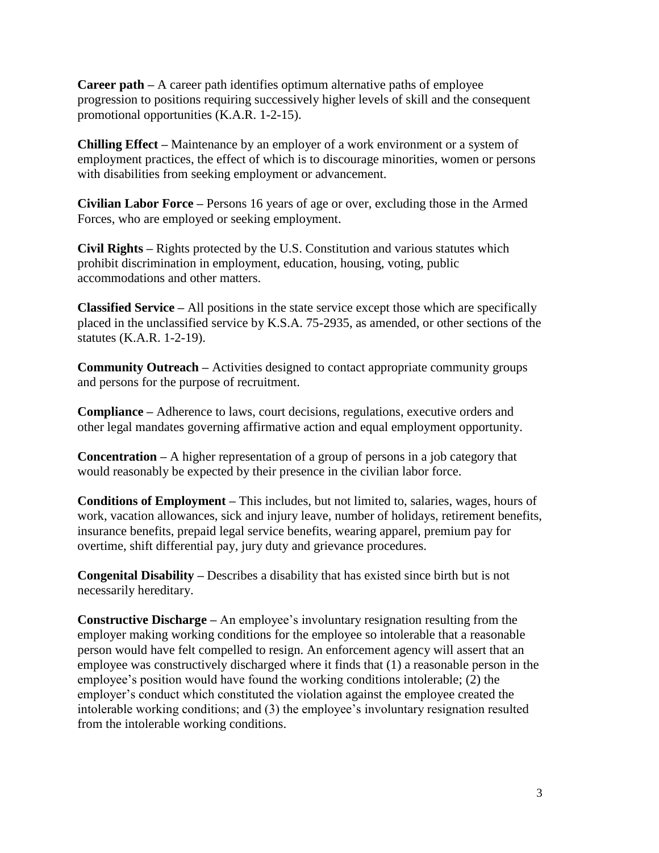**Career path –** A career path identifies optimum alternative paths of employee progression to positions requiring successively higher levels of skill and the consequent promotional opportunities (K.A.R. 1-2-15).

**Chilling Effect –** Maintenance by an employer of a work environment or a system of employment practices, the effect of which is to discourage minorities, women or persons with disabilities from seeking employment or advancement.

**Civilian Labor Force –** Persons 16 years of age or over, excluding those in the Armed Forces, who are employed or seeking employment.

**Civil Rights –** Rights protected by the U.S. Constitution and various statutes which prohibit discrimination in employment, education, housing, voting, public accommodations and other matters.

**Classified Service –** All positions in the state service except those which are specifically placed in the unclassified service by K.S.A. 75-2935, as amended, or other sections of the statutes (K.A.R. 1-2-19).

**Community Outreach –** Activities designed to contact appropriate community groups and persons for the purpose of recruitment.

**Compliance –** Adherence to laws, court decisions, regulations, executive orders and other legal mandates governing affirmative action and equal employment opportunity.

**Concentration –** A higher representation of a group of persons in a job category that would reasonably be expected by their presence in the civilian labor force.

**Conditions of Employment –** This includes, but not limited to, salaries, wages, hours of work, vacation allowances, sick and injury leave, number of holidays, retirement benefits, insurance benefits, prepaid legal service benefits, wearing apparel, premium pay for overtime, shift differential pay, jury duty and grievance procedures.

**Congenital Disability –** Describes a disability that has existed since birth but is not necessarily hereditary.

**Constructive Discharge –** An employee's involuntary resignation resulting from the employer making working conditions for the employee so intolerable that a reasonable person would have felt compelled to resign. An enforcement agency will assert that an employee was constructively discharged where it finds that (1) a reasonable person in the employee's position would have found the working conditions intolerable; (2) the employer's conduct which constituted the violation against the employee created the intolerable working conditions; and (3) the employee's involuntary resignation resulted from the intolerable working conditions.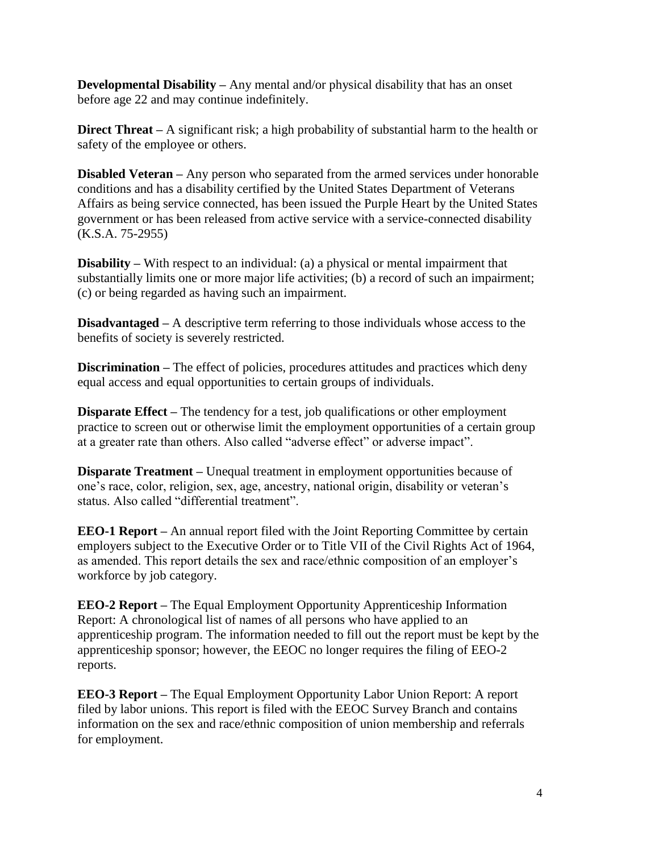**Developmental Disability –** Any mental and/or physical disability that has an onset before age 22 and may continue indefinitely.

**Direct Threat** – A significant risk; a high probability of substantial harm to the health or safety of the employee or others.

**Disabled Veteran** – Any person who separated from the armed services under honorable conditions and has a disability certified by the United States Department of Veterans Affairs as being service connected, has been issued the Purple Heart by the United States government or has been released from active service with a service-connected disability (K.S.A. 75-2955)

**Disability –** With respect to an individual: (a) a physical or mental impairment that substantially limits one or more major life activities; (b) a record of such an impairment; (c) or being regarded as having such an impairment.

**Disadvantaged** – A descriptive term referring to those individuals whose access to the benefits of society is severely restricted.

**Discrimination –** The effect of policies, procedures attitudes and practices which deny equal access and equal opportunities to certain groups of individuals.

**Disparate Effect** – The tendency for a test, job qualifications or other employment practice to screen out or otherwise limit the employment opportunities of a certain group at a greater rate than others. Also called "adverse effect" or adverse impact".

**Disparate Treatment** – Unequal treatment in employment opportunities because of one's race, color, religion, sex, age, ancestry, national origin, disability or veteran's status. Also called "differential treatment".

**EEO-1 Report –** An annual report filed with the Joint Reporting Committee by certain employers subject to the Executive Order or to Title VII of the Civil Rights Act of 1964, as amended. This report details the sex and race/ethnic composition of an employer's workforce by job category.

**EEO-2 Report –** The Equal Employment Opportunity Apprenticeship Information Report: A chronological list of names of all persons who have applied to an apprenticeship program. The information needed to fill out the report must be kept by the apprenticeship sponsor; however, the EEOC no longer requires the filing of EEO-2 reports.

**EEO-3 Report –** The Equal Employment Opportunity Labor Union Report: A report filed by labor unions. This report is filed with the EEOC Survey Branch and contains information on the sex and race/ethnic composition of union membership and referrals for employment.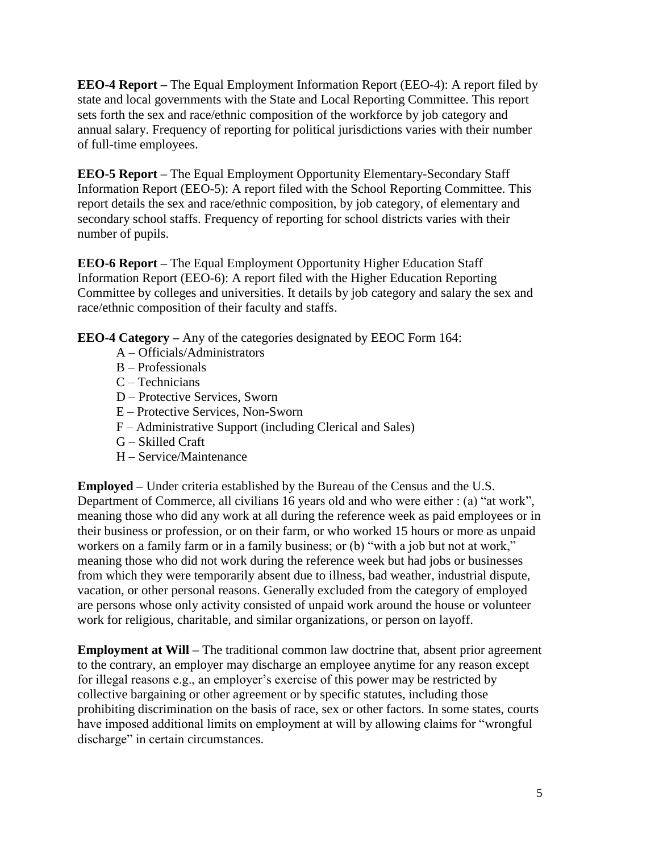**EEO-4 Report –** The Equal Employment Information Report (EEO-4): A report filed by state and local governments with the State and Local Reporting Committee. This report sets forth the sex and race/ethnic composition of the workforce by job category and annual salary. Frequency of reporting for political jurisdictions varies with their number of full-time employees.

**EEO-5 Report –** The Equal Employment Opportunity Elementary-Secondary Staff Information Report (EEO-5): A report filed with the School Reporting Committee. This report details the sex and race/ethnic composition, by job category, of elementary and secondary school staffs. Frequency of reporting for school districts varies with their number of pupils.

**EEO-6 Report –** The Equal Employment Opportunity Higher Education Staff Information Report (EEO-6): A report filed with the Higher Education Reporting Committee by colleges and universities. It details by job category and salary the sex and race/ethnic composition of their faculty and staffs.

**EEO-4 Category –** Any of the categories designated by EEOC Form 164:

- A Officials/Administrators
- B Professionals
- C Technicians
- D Protective Services, Sworn
- E Protective Services, Non-Sworn
- F Administrative Support (including Clerical and Sales)
- G Skilled Craft
- H Service/Maintenance

**Employed –** Under criteria established by the Bureau of the Census and the U.S. Department of Commerce, all civilians 16 years old and who were either : (a) "at work", meaning those who did any work at all during the reference week as paid employees or in their business or profession, or on their farm, or who worked 15 hours or more as unpaid workers on a family farm or in a family business; or (b) "with a job but not at work," meaning those who did not work during the reference week but had jobs or businesses from which they were temporarily absent due to illness, bad weather, industrial dispute, vacation, or other personal reasons. Generally excluded from the category of employed are persons whose only activity consisted of unpaid work around the house or volunteer work for religious, charitable, and similar organizations, or person on layoff.

**Employment at Will** – The traditional common law doctrine that, absent prior agreement to the contrary, an employer may discharge an employee anytime for any reason except for illegal reasons e.g., an employer's exercise of this power may be restricted by collective bargaining or other agreement or by specific statutes, including those prohibiting discrimination on the basis of race, sex or other factors. In some states, courts have imposed additional limits on employment at will by allowing claims for "wrongful discharge" in certain circumstances.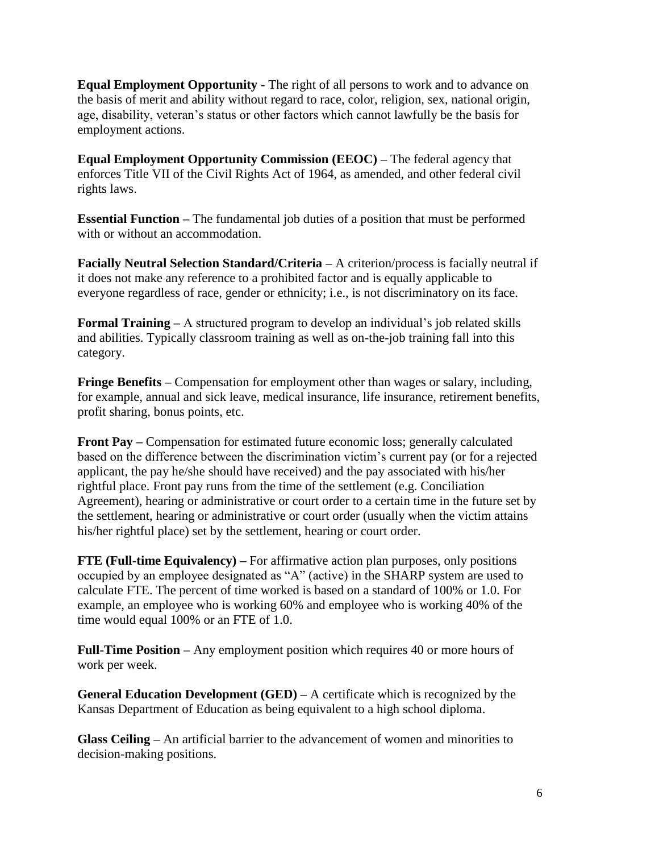**Equal Employment Opportunity -** The right of all persons to work and to advance on the basis of merit and ability without regard to race, color, religion, sex, national origin, age, disability, veteran's status or other factors which cannot lawfully be the basis for employment actions.

**Equal Employment Opportunity Commission (EEOC) –** The federal agency that enforces Title VII of the Civil Rights Act of 1964, as amended, and other federal civil rights laws.

**Essential Function –** The fundamental job duties of a position that must be performed with or without an accommodation.

**Facially Neutral Selection Standard/Criteria –** A criterion/process is facially neutral if it does not make any reference to a prohibited factor and is equally applicable to everyone regardless of race, gender or ethnicity; i.e., is not discriminatory on its face.

**Formal Training –** A structured program to develop an individual's job related skills and abilities. Typically classroom training as well as on-the-job training fall into this category.

**Fringe Benefits –** Compensation for employment other than wages or salary, including, for example, annual and sick leave, medical insurance, life insurance, retirement benefits, profit sharing, bonus points, etc.

**Front Pay –** Compensation for estimated future economic loss; generally calculated based on the difference between the discrimination victim's current pay (or for a rejected applicant, the pay he/she should have received) and the pay associated with his/her rightful place. Front pay runs from the time of the settlement (e.g. Conciliation Agreement), hearing or administrative or court order to a certain time in the future set by the settlement, hearing or administrative or court order (usually when the victim attains his/her rightful place) set by the settlement, hearing or court order.

**FTE (Full-time Equivalency) –** For affirmative action plan purposes, only positions occupied by an employee designated as "A" (active) in the SHARP system are used to calculate FTE. The percent of time worked is based on a standard of 100% or 1.0. For example, an employee who is working 60% and employee who is working 40% of the time would equal 100% or an FTE of 1.0.

**Full-Time Position –** Any employment position which requires 40 or more hours of work per week.

**General Education Development (GED) –** A certificate which is recognized by the Kansas Department of Education as being equivalent to a high school diploma.

**Glass Ceiling –** An artificial barrier to the advancement of women and minorities to decision-making positions.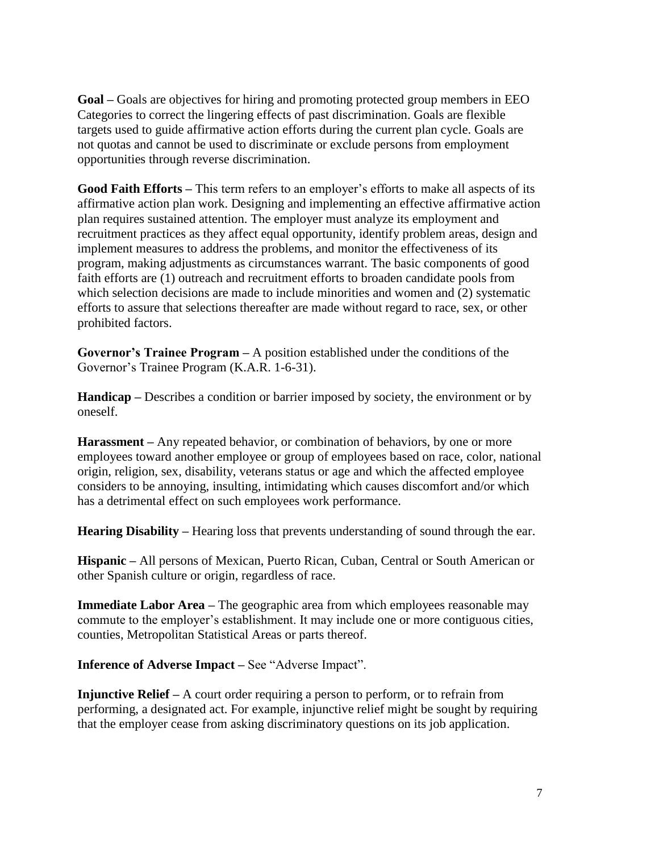**Goal –** Goals are objectives for hiring and promoting protected group members in EEO Categories to correct the lingering effects of past discrimination. Goals are flexible targets used to guide affirmative action efforts during the current plan cycle. Goals are not quotas and cannot be used to discriminate or exclude persons from employment opportunities through reverse discrimination.

**Good Faith Efforts –** This term refers to an employer's efforts to make all aspects of its affirmative action plan work. Designing and implementing an effective affirmative action plan requires sustained attention. The employer must analyze its employment and recruitment practices as they affect equal opportunity, identify problem areas, design and implement measures to address the problems, and monitor the effectiveness of its program, making adjustments as circumstances warrant. The basic components of good faith efforts are (1) outreach and recruitment efforts to broaden candidate pools from which selection decisions are made to include minorities and women and (2) systematic efforts to assure that selections thereafter are made without regard to race, sex, or other prohibited factors.

**Governor's Trainee Program –** A position established under the conditions of the Governor's Trainee Program (K.A.R. 1-6-31).

**Handicap –** Describes a condition or barrier imposed by society, the environment or by oneself.

**Harassment –** Any repeated behavior, or combination of behaviors, by one or more employees toward another employee or group of employees based on race, color, national origin, religion, sex, disability, veterans status or age and which the affected employee considers to be annoying, insulting, intimidating which causes discomfort and/or which has a detrimental effect on such employees work performance.

**Hearing Disability –** Hearing loss that prevents understanding of sound through the ear.

**Hispanic –** All persons of Mexican, Puerto Rican, Cuban, Central or South American or other Spanish culture or origin, regardless of race.

**Immediate Labor Area –** The geographic area from which employees reasonable may commute to the employer's establishment. It may include one or more contiguous cities, counties, Metropolitan Statistical Areas or parts thereof.

**Inference of Adverse Impact –** See "Adverse Impact".

**Injunctive Relief –** A court order requiring a person to perform, or to refrain from performing, a designated act. For example, injunctive relief might be sought by requiring that the employer cease from asking discriminatory questions on its job application.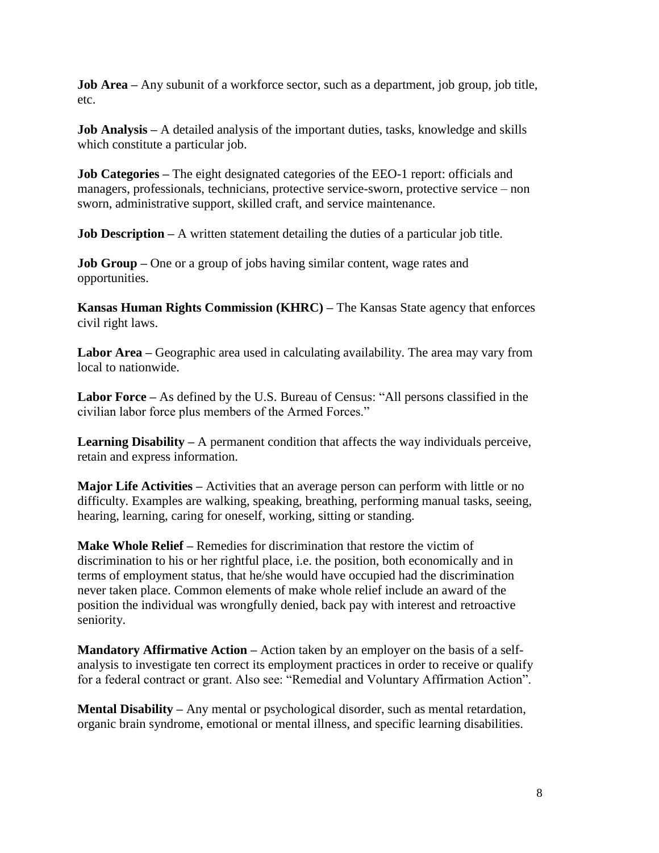**Job Area** – Any subunit of a workforce sector, such as a department, job group, job title, etc.

**Job Analysis –** A detailed analysis of the important duties, tasks, knowledge and skills which constitute a particular job.

**Job Categories** – The eight designated categories of the EEO-1 report: officials and managers, professionals, technicians, protective service-sworn, protective service – non sworn, administrative support, skilled craft, and service maintenance.

**Job Description** – A written statement detailing the duties of a particular job title.

**Job Group** – One or a group of jobs having similar content, wage rates and opportunities.

**Kansas Human Rights Commission (KHRC) –** The Kansas State agency that enforces civil right laws.

**Labor Area –** Geographic area used in calculating availability. The area may vary from local to nationwide.

**Labor Force –** As defined by the U.S. Bureau of Census: "All persons classified in the civilian labor force plus members of the Armed Forces."

**Learning Disability** – A permanent condition that affects the way individuals perceive, retain and express information.

**Major Life Activities –** Activities that an average person can perform with little or no difficulty. Examples are walking, speaking, breathing, performing manual tasks, seeing, hearing, learning, caring for oneself, working, sitting or standing.

**Make Whole Relief –** Remedies for discrimination that restore the victim of discrimination to his or her rightful place, i.e. the position, both economically and in terms of employment status, that he/she would have occupied had the discrimination never taken place. Common elements of make whole relief include an award of the position the individual was wrongfully denied, back pay with interest and retroactive seniority.

**Mandatory Affirmative Action –** Action taken by an employer on the basis of a selfanalysis to investigate ten correct its employment practices in order to receive or qualify for a federal contract or grant. Also see: "Remedial and Voluntary Affirmation Action".

**Mental Disability –** Any mental or psychological disorder, such as mental retardation, organic brain syndrome, emotional or mental illness, and specific learning disabilities.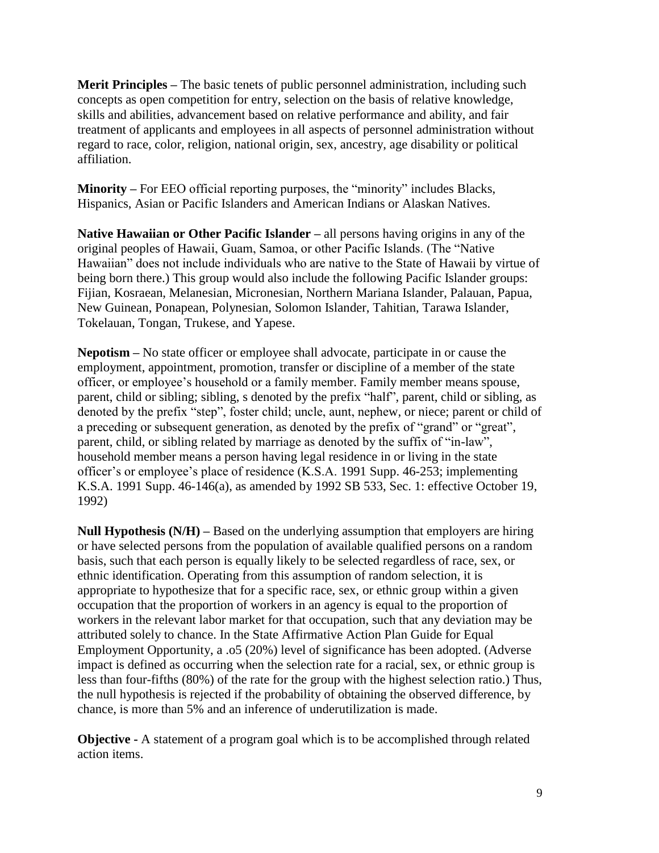**Merit Principles –** The basic tenets of public personnel administration, including such concepts as open competition for entry, selection on the basis of relative knowledge, skills and abilities, advancement based on relative performance and ability, and fair treatment of applicants and employees in all aspects of personnel administration without regard to race, color, religion, national origin, sex, ancestry, age disability or political affiliation.

**Minority –** For EEO official reporting purposes, the "minority" includes Blacks, Hispanics, Asian or Pacific Islanders and American Indians or Alaskan Natives.

**Native Hawaiian or Other Pacific Islander –** all persons having origins in any of the original peoples of Hawaii, Guam, Samoa, or other Pacific Islands. (The "Native Hawaiian" does not include individuals who are native to the State of Hawaii by virtue of being born there.) This group would also include the following Pacific Islander groups: Fijian, Kosraean, Melanesian, Micronesian, Northern Mariana Islander, Palauan, Papua, New Guinean, Ponapean, Polynesian, Solomon Islander, Tahitian, Tarawa Islander, Tokelauan, Tongan, Trukese, and Yapese.

**Nepotism –** No state officer or employee shall advocate, participate in or cause the employment, appointment, promotion, transfer or discipline of a member of the state officer, or employee's household or a family member. Family member means spouse, parent, child or sibling; sibling, s denoted by the prefix "half", parent, child or sibling, as denoted by the prefix "step", foster child; uncle, aunt, nephew, or niece; parent or child of a preceding or subsequent generation, as denoted by the prefix of "grand" or "great", parent, child, or sibling related by marriage as denoted by the suffix of "in-law", household member means a person having legal residence in or living in the state officer's or employee's place of residence (K.S.A. 1991 Supp. 46-253; implementing K.S.A. 1991 Supp. 46-146(a), as amended by 1992 SB 533, Sec. 1: effective October 19, 1992)

**Null Hypothesis (N/H) –** Based on the underlying assumption that employers are hiring or have selected persons from the population of available qualified persons on a random basis, such that each person is equally likely to be selected regardless of race, sex, or ethnic identification. Operating from this assumption of random selection, it is appropriate to hypothesize that for a specific race, sex, or ethnic group within a given occupation that the proportion of workers in an agency is equal to the proportion of workers in the relevant labor market for that occupation, such that any deviation may be attributed solely to chance. In the State Affirmative Action Plan Guide for Equal Employment Opportunity, a .o5 (20%) level of significance has been adopted. (Adverse impact is defined as occurring when the selection rate for a racial, sex, or ethnic group is less than four-fifths (80%) of the rate for the group with the highest selection ratio.) Thus, the null hypothesis is rejected if the probability of obtaining the observed difference, by chance, is more than 5% and an inference of underutilization is made.

**Objective -** A statement of a program goal which is to be accomplished through related action items.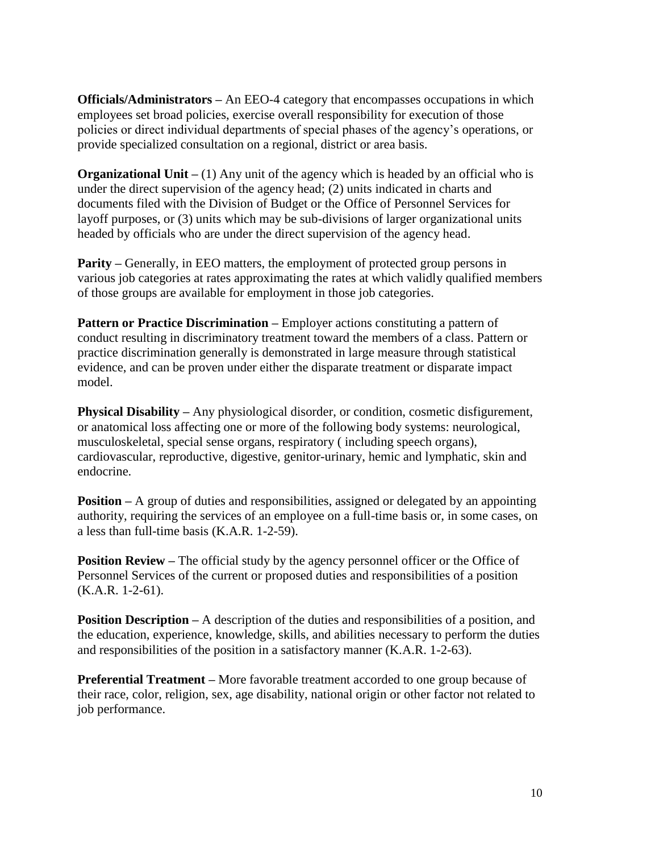**Officials/Administrators –** An EEO-4 category that encompasses occupations in which employees set broad policies, exercise overall responsibility for execution of those policies or direct individual departments of special phases of the agency's operations, or provide specialized consultation on a regional, district or area basis.

**Organizational Unit** – (1) Any unit of the agency which is headed by an official who is under the direct supervision of the agency head; (2) units indicated in charts and documents filed with the Division of Budget or the Office of Personnel Services for layoff purposes, or (3) units which may be sub-divisions of larger organizational units headed by officials who are under the direct supervision of the agency head.

**Parity** – Generally, in EEO matters, the employment of protected group persons in various job categories at rates approximating the rates at which validly qualified members of those groups are available for employment in those job categories.

**Pattern or Practice Discrimination** – Employer actions constituting a pattern of conduct resulting in discriminatory treatment toward the members of a class. Pattern or practice discrimination generally is demonstrated in large measure through statistical evidence, and can be proven under either the disparate treatment or disparate impact model.

**Physical Disability** – Any physiological disorder, or condition, cosmetic disfigurement, or anatomical loss affecting one or more of the following body systems: neurological, musculoskeletal, special sense organs, respiratory ( including speech organs), cardiovascular, reproductive, digestive, genitor-urinary, hemic and lymphatic, skin and endocrine.

**Position** – A group of duties and responsibilities, assigned or delegated by an appointing authority, requiring the services of an employee on a full-time basis or, in some cases, on a less than full-time basis (K.A.R. 1-2-59).

**Position Review** – The official study by the agency personnel officer or the Office of Personnel Services of the current or proposed duties and responsibilities of a position (K.A.R. 1-2-61).

**Position Description –** A description of the duties and responsibilities of a position, and the education, experience, knowledge, skills, and abilities necessary to perform the duties and responsibilities of the position in a satisfactory manner (K.A.R. 1-2-63).

**Preferential Treatment –** More favorable treatment accorded to one group because of their race, color, religion, sex, age disability, national origin or other factor not related to job performance.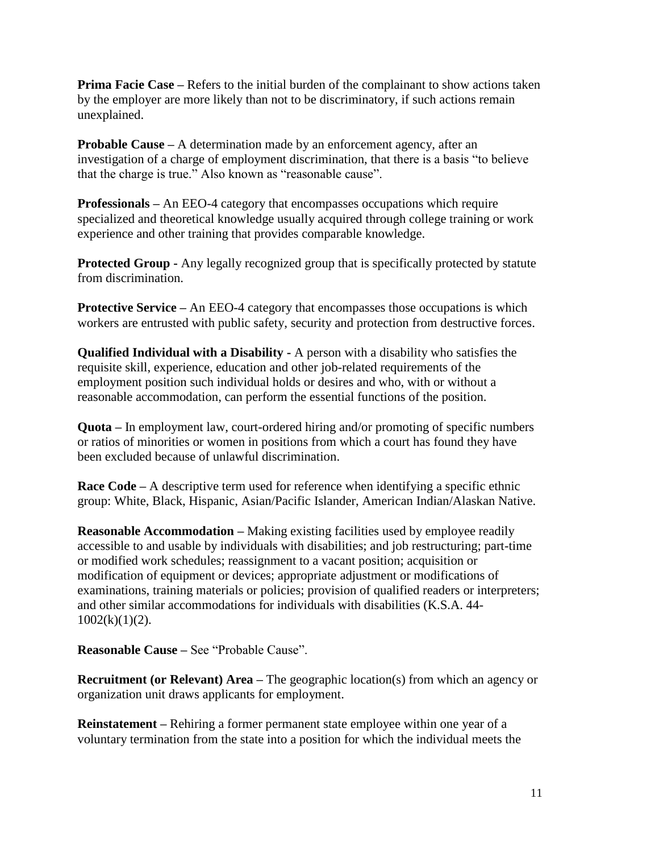**Prima Facie Case** – Refers to the initial burden of the complainant to show actions taken by the employer are more likely than not to be discriminatory, if such actions remain unexplained.

**Probable Cause –** A determination made by an enforcement agency, after an investigation of a charge of employment discrimination, that there is a basis "to believe that the charge is true." Also known as "reasonable cause".

**Professionals –** An EEO-4 category that encompasses occupations which require specialized and theoretical knowledge usually acquired through college training or work experience and other training that provides comparable knowledge.

**Protected Group -** Any legally recognized group that is specifically protected by statute from discrimination.

**Protective Service –** An EEO-4 category that encompasses those occupations is which workers are entrusted with public safety, security and protection from destructive forces.

**Qualified Individual with a Disability -** A person with a disability who satisfies the requisite skill, experience, education and other job-related requirements of the employment position such individual holds or desires and who, with or without a reasonable accommodation, can perform the essential functions of the position.

**Quota –** In employment law, court-ordered hiring and/or promoting of specific numbers or ratios of minorities or women in positions from which a court has found they have been excluded because of unlawful discrimination.

**Race Code** – A descriptive term used for reference when identifying a specific ethnic group: White, Black, Hispanic, Asian/Pacific Islander, American Indian/Alaskan Native.

**Reasonable Accommodation –** Making existing facilities used by employee readily accessible to and usable by individuals with disabilities; and job restructuring; part-time or modified work schedules; reassignment to a vacant position; acquisition or modification of equipment or devices; appropriate adjustment or modifications of examinations, training materials or policies; provision of qualified readers or interpreters; and other similar accommodations for individuals with disabilities (K.S.A. 44-  $1002(k)(1)(2)$ .

**Reasonable Cause –** See "Probable Cause".

**Recruitment (or Relevant) Area** – The geographic location(s) from which an agency or organization unit draws applicants for employment.

**Reinstatement –** Rehiring a former permanent state employee within one year of a voluntary termination from the state into a position for which the individual meets the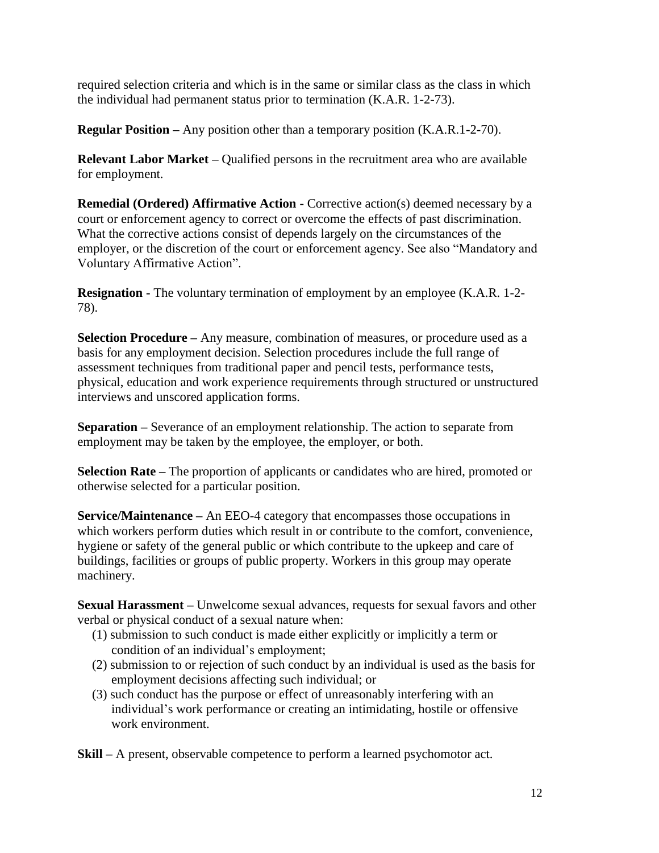required selection criteria and which is in the same or similar class as the class in which the individual had permanent status prior to termination (K.A.R. 1-2-73).

**Regular Position –** Any position other than a temporary position (K.A.R.1-2-70).

**Relevant Labor Market –** Qualified persons in the recruitment area who are available for employment.

**Remedial (Ordered) Affirmative Action -** Corrective action(s) deemed necessary by a court or enforcement agency to correct or overcome the effects of past discrimination. What the corrective actions consist of depends largely on the circumstances of the employer, or the discretion of the court or enforcement agency. See also "Mandatory and Voluntary Affirmative Action".

**Resignation -** The voluntary termination of employment by an employee (K.A.R. 1-2-78).

**Selection Procedure –** Any measure, combination of measures, or procedure used as a basis for any employment decision. Selection procedures include the full range of assessment techniques from traditional paper and pencil tests, performance tests, physical, education and work experience requirements through structured or unstructured interviews and unscored application forms.

**Separation –** Severance of an employment relationship. The action to separate from employment may be taken by the employee, the employer, or both.

**Selection Rate –** The proportion of applicants or candidates who are hired, promoted or otherwise selected for a particular position.

**Service/Maintenance –** An EEO-4 category that encompasses those occupations in which workers perform duties which result in or contribute to the comfort, convenience, hygiene or safety of the general public or which contribute to the upkeep and care of buildings, facilities or groups of public property. Workers in this group may operate machinery.

**Sexual Harassment –** Unwelcome sexual advances, requests for sexual favors and other verbal or physical conduct of a sexual nature when:

- (1) submission to such conduct is made either explicitly or implicitly a term or condition of an individual's employment;
- (2) submission to or rejection of such conduct by an individual is used as the basis for employment decisions affecting such individual; or
- (3) such conduct has the purpose or effect of unreasonably interfering with an individual's work performance or creating an intimidating, hostile or offensive work environment.

**Skill –** A present, observable competence to perform a learned psychomotor act.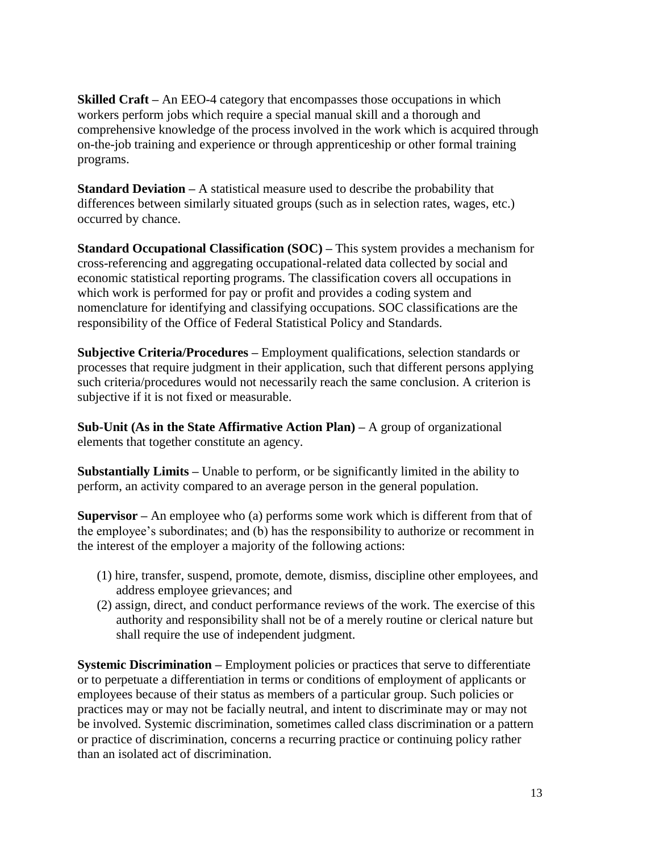**Skilled Craft** – An EEO-4 category that encompasses those occupations in which workers perform jobs which require a special manual skill and a thorough and comprehensive knowledge of the process involved in the work which is acquired through on-the-job training and experience or through apprenticeship or other formal training programs.

**Standard Deviation –** A statistical measure used to describe the probability that differences between similarly situated groups (such as in selection rates, wages, etc.) occurred by chance.

**Standard Occupational Classification (SOC) –** This system provides a mechanism for cross-referencing and aggregating occupational-related data collected by social and economic statistical reporting programs. The classification covers all occupations in which work is performed for pay or profit and provides a coding system and nomenclature for identifying and classifying occupations. SOC classifications are the responsibility of the Office of Federal Statistical Policy and Standards.

**Subjective Criteria/Procedures –** Employment qualifications, selection standards or processes that require judgment in their application, such that different persons applying such criteria/procedures would not necessarily reach the same conclusion. A criterion is subjective if it is not fixed or measurable.

**Sub-Unit (As in the State Affirmative Action Plan) –** A group of organizational elements that together constitute an agency.

**Substantially Limits –** Unable to perform, or be significantly limited in the ability to perform, an activity compared to an average person in the general population.

**Supervisor –** An employee who (a) performs some work which is different from that of the employee's subordinates; and (b) has the responsibility to authorize or recomment in the interest of the employer a majority of the following actions:

- (1) hire, transfer, suspend, promote, demote, dismiss, discipline other employees, and address employee grievances; and
- (2) assign, direct, and conduct performance reviews of the work. The exercise of this authority and responsibility shall not be of a merely routine or clerical nature but shall require the use of independent judgment.

**Systemic Discrimination –** Employment policies or practices that serve to differentiate or to perpetuate a differentiation in terms or conditions of employment of applicants or employees because of their status as members of a particular group. Such policies or practices may or may not be facially neutral, and intent to discriminate may or may not be involved. Systemic discrimination, sometimes called class discrimination or a pattern or practice of discrimination, concerns a recurring practice or continuing policy rather than an isolated act of discrimination.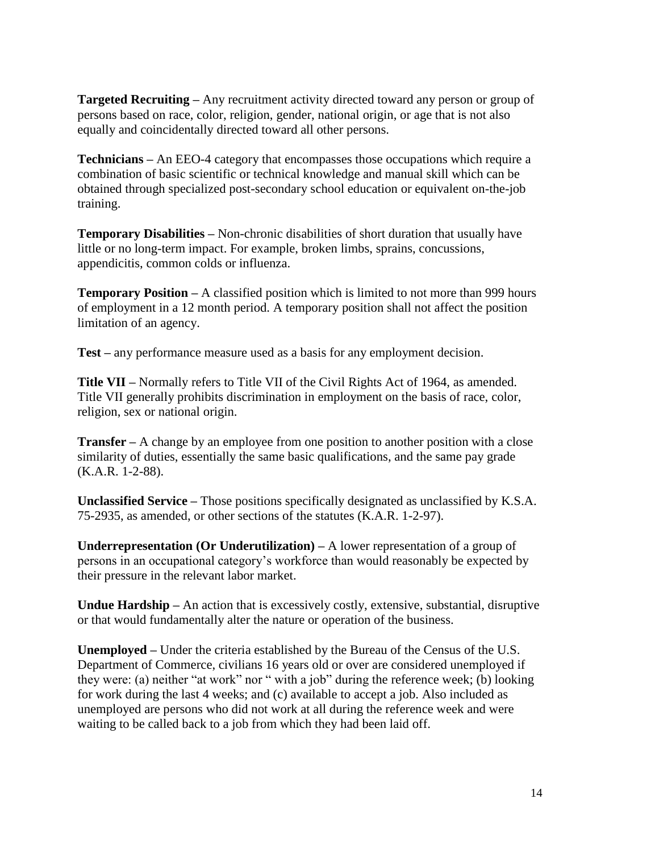**Targeted Recruiting –** Any recruitment activity directed toward any person or group of persons based on race, color, religion, gender, national origin, or age that is not also equally and coincidentally directed toward all other persons.

**Technicians –** An EEO-4 category that encompasses those occupations which require a combination of basic scientific or technical knowledge and manual skill which can be obtained through specialized post-secondary school education or equivalent on-the-job training.

**Temporary Disabilities –** Non-chronic disabilities of short duration that usually have little or no long-term impact. For example, broken limbs, sprains, concussions, appendicitis, common colds or influenza.

**Temporary Position –** A classified position which is limited to not more than 999 hours of employment in a 12 month period. A temporary position shall not affect the position limitation of an agency.

**Test –** any performance measure used as a basis for any employment decision.

**Title VII –** Normally refers to Title VII of the Civil Rights Act of 1964, as amended. Title VII generally prohibits discrimination in employment on the basis of race, color, religion, sex or national origin.

**Transfer –** A change by an employee from one position to another position with a close similarity of duties, essentially the same basic qualifications, and the same pay grade (K.A.R. 1-2-88).

**Unclassified Service –** Those positions specifically designated as unclassified by K.S.A. 75-2935, as amended, or other sections of the statutes (K.A.R. 1-2-97).

**Underrepresentation (Or Underutilization)** – A lower representation of a group of persons in an occupational category's workforce than would reasonably be expected by their pressure in the relevant labor market.

**Undue Hardship –** An action that is excessively costly, extensive, substantial, disruptive or that would fundamentally alter the nature or operation of the business.

**Unemployed –** Under the criteria established by the Bureau of the Census of the U.S. Department of Commerce, civilians 16 years old or over are considered unemployed if they were: (a) neither "at work" nor " with a job" during the reference week; (b) looking for work during the last 4 weeks; and (c) available to accept a job. Also included as unemployed are persons who did not work at all during the reference week and were waiting to be called back to a job from which they had been laid off.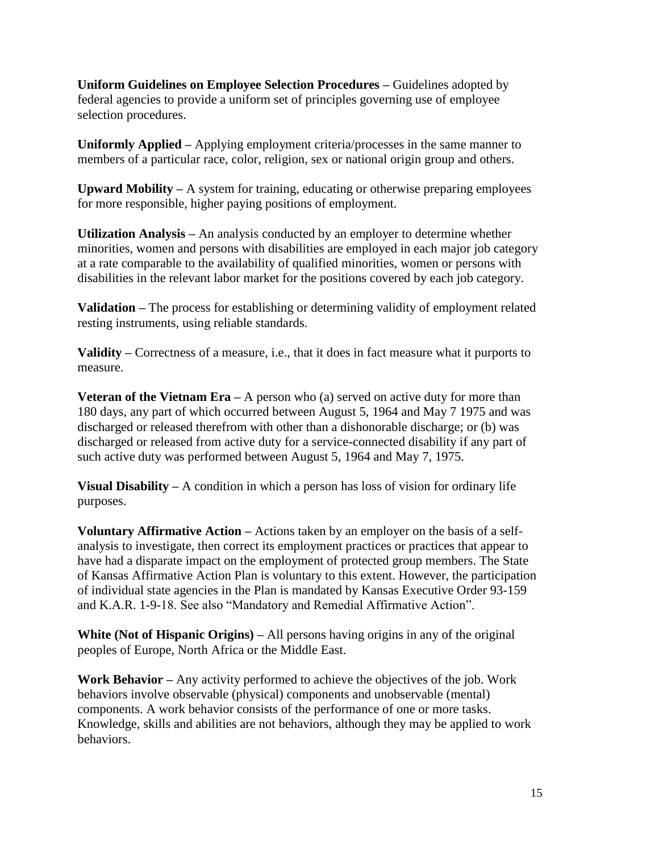**Uniform Guidelines on Employee Selection Procedures –** Guidelines adopted by federal agencies to provide a uniform set of principles governing use of employee selection procedures.

**Uniformly Applied –** Applying employment criteria/processes in the same manner to members of a particular race, color, religion, sex or national origin group and others.

**Upward Mobility –** A system for training, educating or otherwise preparing employees for more responsible, higher paying positions of employment.

**Utilization Analysis –** An analysis conducted by an employer to determine whether minorities, women and persons with disabilities are employed in each major job category at a rate comparable to the availability of qualified minorities, women or persons with disabilities in the relevant labor market for the positions covered by each job category.

**Validation –** The process for establishing or determining validity of employment related resting instruments, using reliable standards.

**Validity –** Correctness of a measure, i.e., that it does in fact measure what it purports to measure.

**Veteran of the Vietnam Era** – A person who (a) served on active duty for more than 180 days, any part of which occurred between August 5, 1964 and May 7 1975 and was discharged or released therefrom with other than a dishonorable discharge; or (b) was discharged or released from active duty for a service-connected disability if any part of such active duty was performed between August 5, 1964 and May 7, 1975.

**Visual Disability** – A condition in which a person has loss of vision for ordinary life purposes.

**Voluntary Affirmative Action –** Actions taken by an employer on the basis of a selfanalysis to investigate, then correct its employment practices or practices that appear to have had a disparate impact on the employment of protected group members. The State of Kansas Affirmative Action Plan is voluntary to this extent. However, the participation of individual state agencies in the Plan is mandated by Kansas Executive Order 93-159 and K.A.R. 1-9-18. See also "Mandatory and Remedial Affirmative Action".

**White (Not of Hispanic Origins) –** All persons having origins in any of the original peoples of Europe, North Africa or the Middle East.

**Work Behavior –** Any activity performed to achieve the objectives of the job. Work behaviors involve observable (physical) components and unobservable (mental) components. A work behavior consists of the performance of one or more tasks. Knowledge, skills and abilities are not behaviors, although they may be applied to work behaviors.